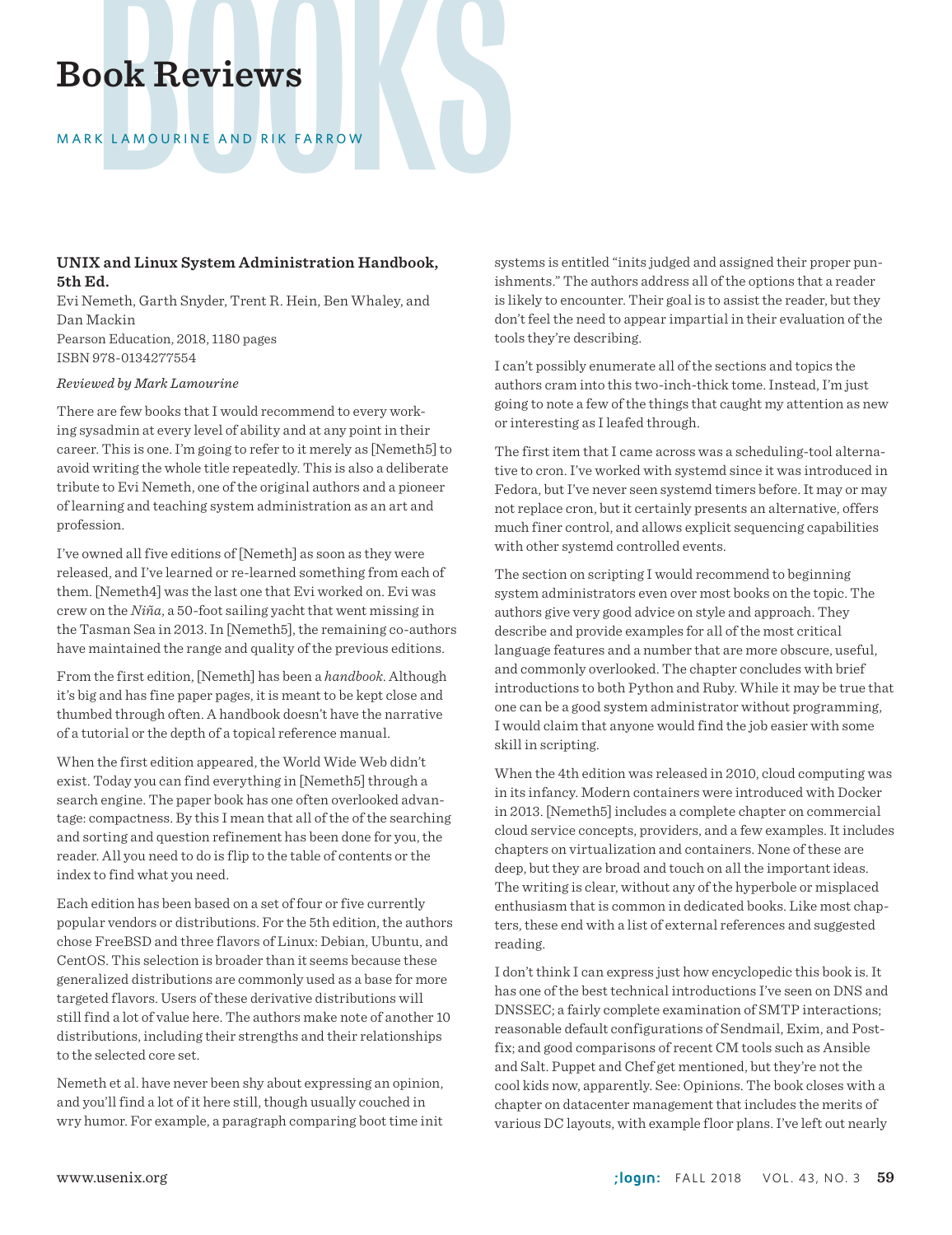# Book Reviews

# MARK LAMOURINE AND RIK FARROW

# **UNIX and Linux System Administration Handbook, 5th Ed.**

Evi Nemeth, Garth Snyder, Trent R. Hein, Ben Whaley, and Dan Mackin Pearson Education, 2018, 1180 pages ISBN 978-0134277554

### *Reviewed by Mark Lamourine*

There are few books that I would recommend to every working sysadmin at every level of ability and at any point in their career. This is one. I'm going to refer to it merely as [Nemeth5] to avoid writing the whole title repeatedly. This is also a deliberate tribute to Evi Nemeth, one of the original authors and a pioneer of learning and teaching system administration as an art and profession.

I've owned all five editions of [Nemeth] as soon as they were released, and I've learned or re-learned something from each of them. [Nemeth4] was the last one that Evi worked on. Evi was crew on the *Niña*, a 50-foot sailing yacht that went missing in the Tasman Sea in 2013. In [Nemeth5], the remaining co-authors have maintained the range and quality of the previous editions.

From the first edition, [Nemeth] has been a *handbook*. Although it's big and has fine paper pages, it is meant to be kept close and thumbed through often. A handbook doesn't have the narrative of a tutorial or the depth of a topical reference manual.

When the first edition appeared, the World Wide Web didn't exist. Today you can find everything in [Nemeth5] through a search engine. The paper book has one often overlooked advantage: compactness. By this I mean that all of the of the searching and sorting and question refinement has been done for you, the reader. All you need to do is flip to the table of contents or the index to find what you need.

Each edition has been based on a set of four or five currently popular vendors or distributions. For the 5th edition, the authors chose FreeBSD and three flavors of Linux: Debian, Ubuntu, and CentOS. This selection is broader than it seems because these generalized distributions are commonly used as a base for more targeted flavors. Users of these derivative distributions will still find a lot of value here. The authors make note of another 10 distributions, including their strengths and their relationships to the selected core set.

Nemeth et al. have never been shy about expressing an opinion, and you'll find a lot of it here still, though usually couched in wry humor. For example, a paragraph comparing boot time init

systems is entitled "inits judged and assigned their proper punishments." The authors address all of the options that a reader is likely to encounter. Their goal is to assist the reader, but they don't feel the need to appear impartial in their evaluation of the tools they're describing.

I can't possibly enumerate all of the sections and topics the authors cram into this two-inch-thick tome. Instead, I'm just going to note a few of the things that caught my attention as new or interesting as I leafed through.

The first item that I came across was a scheduling-tool alternative to cron. I've worked with systemd since it was introduced in Fedora, but I've never seen systemd timers before. It may or may not replace cron, but it certainly presents an alternative, offers much finer control, and allows explicit sequencing capabilities with other systemd controlled events.

The section on scripting I would recommend to beginning system administrators even over most books on the topic. The authors give very good advice on style and approach. They describe and provide examples for all of the most critical language features and a number that are more obscure, useful, and commonly overlooked. The chapter concludes with brief introductions to both Python and Ruby. While it may be true that one can be a good system administrator without programming, I would claim that anyone would find the job easier with some skill in scripting.

When the 4th edition was released in 2010, cloud computing was in its infancy. Modern containers were introduced with Docker in 2013. [Nemeth5] includes a complete chapter on commercial cloud service concepts, providers, and a few examples. It includes chapters on virtualization and containers. None of these are deep, but they are broad and touch on all the important ideas. The writing is clear, without any of the hyperbole or misplaced enthusiasm that is common in dedicated books. Like most chapters, these end with a list of external references and suggested reading.

I don't think I can express just how encyclopedic this book is. It has one of the best technical introductions I've seen on DNS and DNSSEC; a fairly complete examination of SMTP interactions; reasonable default configurations of Sendmail, Exim, and Postfix; and good comparisons of recent CM tools such as Ansible and Salt. Puppet and Chef get mentioned, but they're not the cool kids now, apparently. See: Opinions. The book closes with a chapter on datacenter management that includes the merits of various DC layouts, with example floor plans. I've left out nearly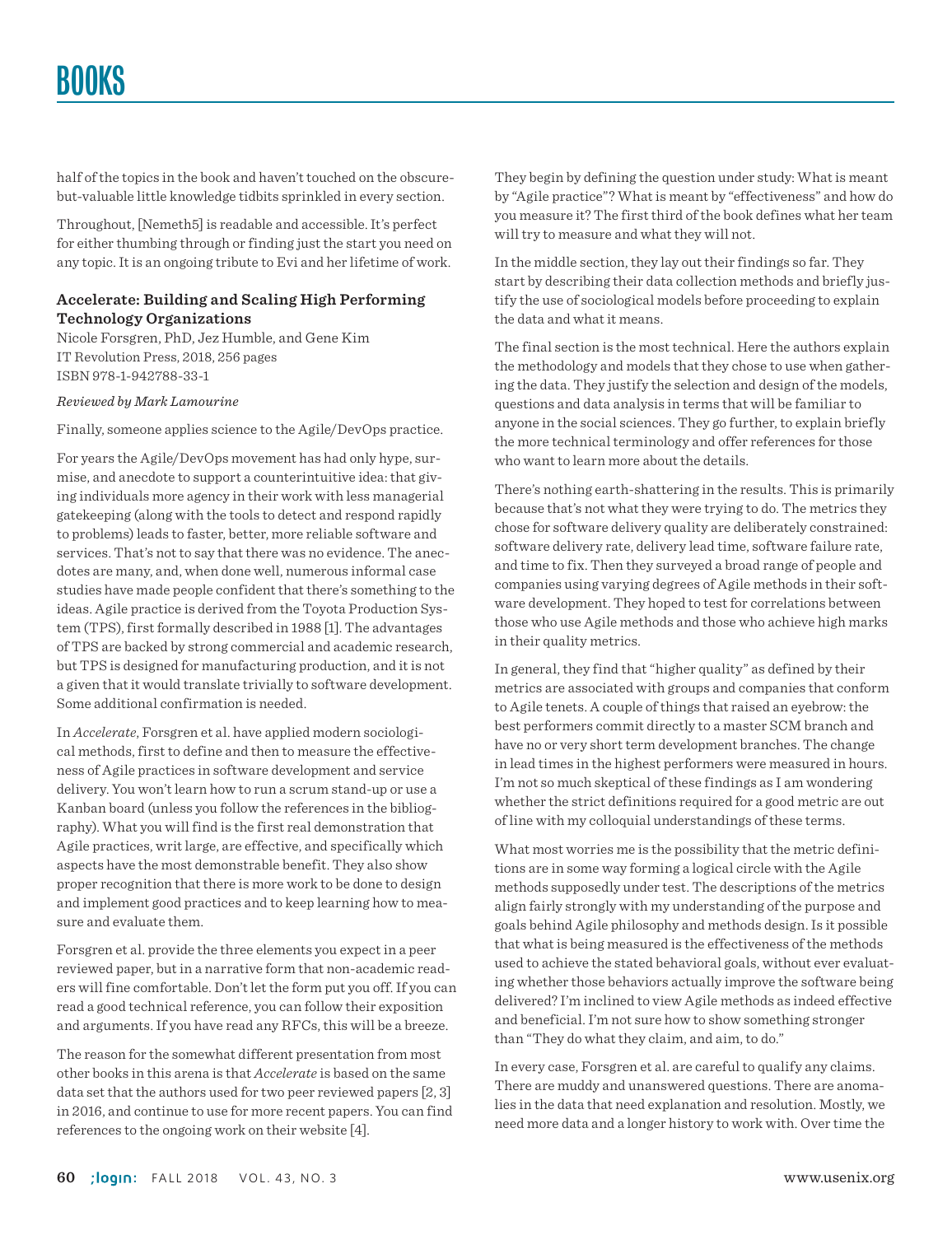half of the topics in the book and haven't touched on the obscurebut-valuable little knowledge tidbits sprinkled in every section.

Throughout, [Nemeth5] is readable and accessible. It's perfect for either thumbing through or finding just the start you need on any topic. It is an ongoing tribute to Evi and her lifetime of work.

# **Accelerate: Building and Scaling High Performing Technology Organizations**

Nicole Forsgren, PhD, Jez Humble, and Gene Kim IT Revolution Press, 2018, 256 pages ISBN 978-1-942788-33-1

## *Reviewed by Mark Lamourine*

Finally, someone applies science to the Agile/DevOps practice.

For years the Agile/DevOps movement has had only hype, surmise, and anecdote to support a counterintuitive idea: that giving individuals more agency in their work with less managerial gatekeeping (along with the tools to detect and respond rapidly to problems) leads to faster, better, more reliable software and services. That's not to say that there was no evidence. The anecdotes are many, and, when done well, numerous informal case studies have made people confident that there's something to the ideas. Agile practice is derived from the Toyota Production System (TPS), first formally described in 1988 [1]. The advantages of TPS are backed by strong commercial and academic research, but TPS is designed for manufacturing production, and it is not a given that it would translate trivially to software development. Some additional confirmation is needed.

In *Accelerate*, Forsgren et al. have applied modern sociological methods, first to define and then to measure the effectiveness of Agile practices in software development and service delivery. You won't learn how to run a scrum stand-up or use a Kanban board (unless you follow the references in the bibliography). What you will find is the first real demonstration that Agile practices, writ large, are effective, and specifically which aspects have the most demonstrable benefit. They also show proper recognition that there is more work to be done to design and implement good practices and to keep learning how to measure and evaluate them.

Forsgren et al. provide the three elements you expect in a peer reviewed paper, but in a narrative form that non-academic readers will fine comfortable. Don't let the form put you off. If you can read a good technical reference, you can follow their exposition and arguments. If you have read any RFCs, this will be a breeze.

The reason for the somewhat different presentation from most other books in this arena is that *Accelerate* is based on the same data set that the authors used for two peer reviewed papers [2, 3] in 2016, and continue to use for more recent papers. You can find references to the ongoing work on their website [4].

They begin by defining the question under study: What is meant by "Agile practice"? What is meant by "effectiveness" and how do you measure it? The first third of the book defines what her team will try to measure and what they will not.

In the middle section, they lay out their findings so far. They start by describing their data collection methods and briefly justify the use of sociological models before proceeding to explain the data and what it means.

The final section is the most technical. Here the authors explain the methodology and models that they chose to use when gathering the data. They justify the selection and design of the models, questions and data analysis in terms that will be familiar to anyone in the social sciences. They go further, to explain briefly the more technical terminology and offer references for those who want to learn more about the details.

There's nothing earth-shattering in the results. This is primarily because that's not what they were trying to do. The metrics they chose for software delivery quality are deliberately constrained: software delivery rate, delivery lead time, software failure rate, and time to fix. Then they surveyed a broad range of people and companies using varying degrees of Agile methods in their software development. They hoped to test for correlations between those who use Agile methods and those who achieve high marks in their quality metrics.

In general, they find that "higher quality" as defined by their metrics are associated with groups and companies that conform to Agile tenets. A couple of things that raised an eyebrow: the best performers commit directly to a master SCM branch and have no or very short term development branches. The change in lead times in the highest performers were measured in hours. I'm not so much skeptical of these findings as I am wondering whether the strict definitions required for a good metric are out of line with my colloquial understandings of these terms.

What most worries me is the possibility that the metric definitions are in some way forming a logical circle with the Agile methods supposedly under test. The descriptions of the metrics align fairly strongly with my understanding of the purpose and goals behind Agile philosophy and methods design. Is it possible that what is being measured is the effectiveness of the methods used to achieve the stated behavioral goals, without ever evaluating whether those behaviors actually improve the software being delivered? I'm inclined to view Agile methods as indeed effective and beneficial. I'm not sure how to show something stronger than "They do what they claim, and aim, to do."

In every case, Forsgren et al. are careful to qualify any claims. There are muddy and unanswered questions. There are anomalies in the data that need explanation and resolution. Mostly, we need more data and a longer history to work with. Over time the